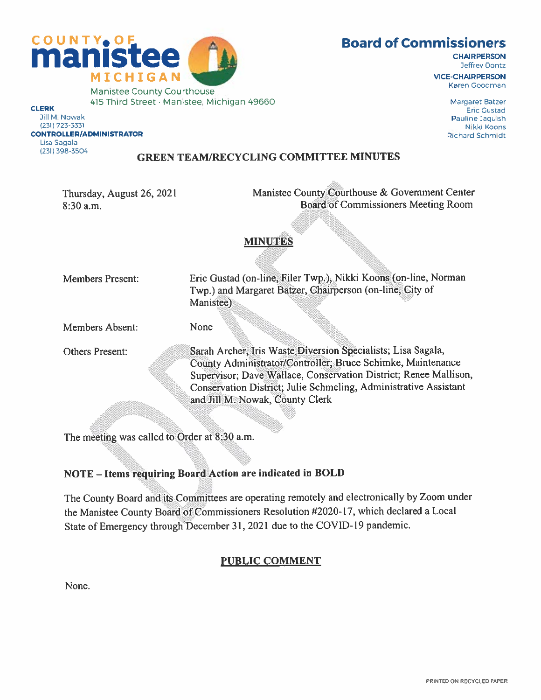

# Board of Commissioners

**CHAIRPERSON** Jeffrey Dontz

ViCE-CHAIRPERSON Karen Cocoman

> Margaret Batze' **Eric Gustad** Pauline Jaquish Nikki Koons Pichard Schmidt

Jill M Nowak 231 723-3331 CONTROLLER/ADMINISTRATOP Lisa Sagala (231) 398-3504

#### GREEN TEAMIRECYCLING COMMITTEE MINUTES

Thursday, August 26, 2021 8:30 a.m.

Manistee County Courthouse & Government Center Board of Commissioners Meeting Room

### MINUTES

Members Present:

Eric Gustad (on-line, Filer Twp.), Nikki Kooris-(on-line, Norman Twp.) and Margaret Batzer, Chairperson (on-line, City of Manistee)

Members Absent:

Others Present:

County Administrator/Controller; Bruce Schimke, Maintenance Supervisor; Dave Wallace, Conservation District; Renee Mallison, Conservation District; Julie Schmeling, Administrative Assistant Archer, Iris Waste Diversion Specialists; Lisa Sagala, and Jill M. Nowak, County Clerk

The meeting was called to Order at 8:30 a.m.

# NOTE — Items requiring Board Action are indicated in BOLD

None

The County Board and its Committees are operating remotely and electronically by Zoom under the Manistee County Board of Commissioners Resolution #2020-17, which declared <sup>a</sup> Local State of Emergency through December 31, <sup>2021</sup> due to the COVID-19 pandemic.

# PUBLIC COMMENT

None.

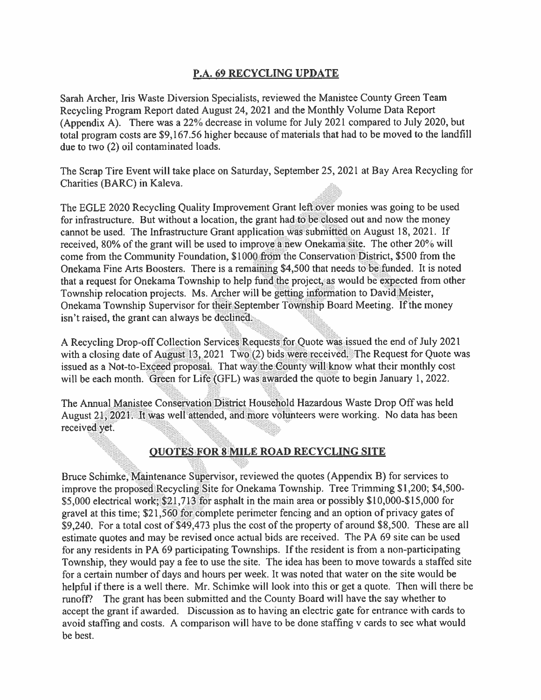### P.A. 69 RECYCLING UPDATE

Sarah Archer, Iris Waste Diversion Specialists, reviewed the Manistee County Green Team Recycling Program Report dated August 24, <sup>2021</sup> and the Monthly Volume Data Report (Appendix A). There was <sup>a</sup> 22% decrease in volume for July <sup>2021</sup> compare<sup>d</sup> to July 2020, but total program costs are \$9,167.56 higher because of materials that had to be moved to the landfill due to two (2) oil contaminated loads.

The Scrap Tire Event will take <sup>p</sup>lace on Saturday, September 25, 2021 at Bay Area Recycling for Charities (BARC) in Kaleva.

The EGLE 2020 Recycling Quality Improvement Grant left over monies was going to be used for infrastructure. But without <sup>a</sup> location, the gran<sup>t</sup> had to be closed out and now the money cannot be used. The Infrastructure Grant application was submitted on August 18, 2021. If received, 80% of the grant will be used to improve a new Onekama site. The other 20% will come from the Community Foundation, \$1000 from the Conservation District, \$500 from the Onekama Fine Arts Boosters. There is a remaining \$4,500 that needs to be funded. It is noted that a request for Onekama Township to help fund the project as would be expected from other Township relocation projects. Ms. Archer will be getting information to David Meister, Onekama Township Supervisor for their September Township Board Meeting. If the money isn't raised, the grant can always be declined.

'a<br>'a <sup>A</sup> Recycling Drop-off Collection Services Requests for Quote was issued the end ot July <sup>2021</sup> with a closing date of August 13, 2021  $Tw_{0}(2)$  bids were received. The Request for Quote was issued as a Not-to-Exceed proposal. That way the County will know what their monthly cost will be each month. Green for Life (GFL) was awarded the quote to begin January 1, 2022.

The Annual 200 Manistee Conservation District Household Hazardous Waste Drop Off was held August 21, 2021. It was well attended, and more volunteers were working. No data has been received yet.

## OUOTES FOR 8 MILE ROAD RECYCLING SITE

Bruce Schimke, Maintenance Supervisor, reviewed the quotes (Appendix B) for services to improve the proposed Recycling Site for Onekama Township. Tree Trimming SI ,200; 54,500- \$5,000 electrical work; \$21,713 for asphalt in the main area or possibly \$10,000-\$15,000 for gravel at this time; \$21,560 for complete perimeter fencing and an option of privacy gates of \$9,240. For <sup>a</sup> total cost of \$49,473 plus the cost of the property of around \$8,500. These are all estimate quotes and may be revised once actual bids are received. The PA <sup>69</sup> site can be used for any residents in PA 69 participating Townships. If the resident is from <sup>a</sup> non-participating Township, they would pay <sup>a</sup> fee to use the site. The idea has been to move towards <sup>a</sup> staffed site for <sup>a</sup> certain number of days and hours per week. It was noted that water on the site would be helpful if there is a well there. Mr. Schimke will look into this or get a quote. Then will there be runoff? The gran<sup>t</sup> has been submitted and the County Board will have the say whether to accep<sup>t</sup> the gran<sup>t</sup> if awarded. Discussion as to having an electric gate for entrance with cards to avoid staffing and costs. A comparison will have to be done staffing <sup>v</sup> cards to see what would be best.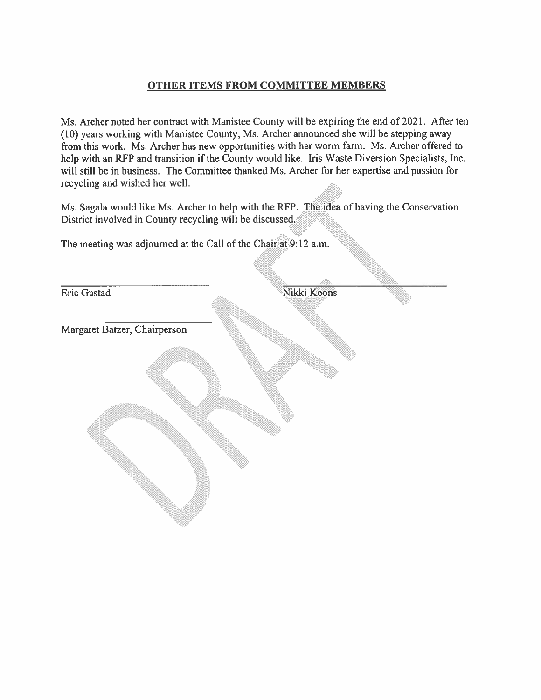### OTHER ITEMS FROM COMMITTEE MEMBERS

Ms. Archer noted her contract with Manistee County will be expiring the end of 2021. After ten (10) years working with Manistee County, Ms. Archer announced she will be stepping away from this work. Ms. Archer has new opportunities with her worm farm. Ms. Archer offered to help with an RFP and transition if the County would like. Iris Waste Diversion Specialists, Inc. will still be in business. The Committee thanked Ms. Archer for her expertise and passion for recycling and wished her well.

Ms. Sagala would like Ms. Archer to help with the RFP. The idea of having the Conservation District involved in County recycling will be discussed.

The meeting was adjourned at the Call of the Chair at 9:12 a.m.

Eric Gustad

Nikki Koons

Margaret Batzer, Chairperson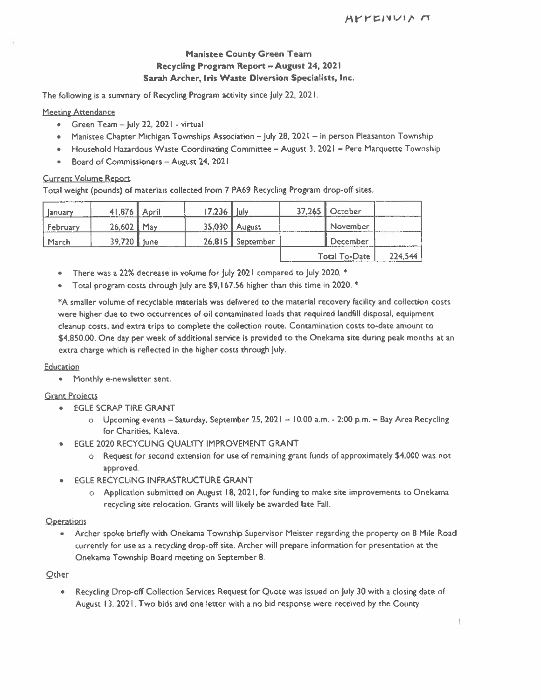#### Manistee County Green Team Recycling Program Report — August 24, 2021 Sarah Archer, Iris Waste Diversion Specialists, Inc.

The following is <sup>a</sup> summary of Recycling Program activity since July 22, 2021.

#### Meeting Attendance

- Green Team —July 22. 2021 virtual
- Manistee Chapter Michigan Townships Association July 28, <sup>202</sup> in person Pleasanton Township
- Household Hazardous Waste Coordinating Committee August 3, 2021 Pere Marciuette Township
- •Board of Commissioners — August 24, 202 I

#### Current Volume Report

Total weight (pounds) of materials collected from <sup>7</sup> PA69 Recycling Program drop-off sites.

| lanuary  | 41,876 April | $17,236$   July |                  | 37,265 October       |         |
|----------|--------------|-----------------|------------------|----------------------|---------|
| February | 26,602 May   |                 | 35,030 August    | November             |         |
| March    | 39,720 June  |                 | 26,815 September | December             |         |
|          |              |                 |                  | <b>Total To-Date</b> | 224,544 |

- •There was <sup>a</sup> 22% decrease in volume for July 2021 compared to July 2020. \*
- •Total program costs through July are \$9, 167.56 higher than this time in 2020. \*

\*A smaller volume of recyclable materials was delivered to the material recovery facility and collection costs were higher due to two occurrences of oil contaminated loads that required landfill disposal, equipment cleanup costs, and extra trips to complete the collection route. Contamination costs to-date amount to \$4,850.00. One day per week of additional service is provided to the Onekama site during pea<sup>k</sup> months at an extra charge which is reflected in the higher costs through July.

#### Education

• Monthly e-newsletter sent.

#### Grant Proiects

- EGLE SCRAP TIRE GRANT
	- <sup>o</sup> Upcoming events Saturday, September 25, <sup>2021</sup> 10:00 am. 2:00 p.m. Bay Area Recycling for Charities, Kaleva.
- • EGLE 2020 RECYCLING QUALITY IMPROVEMENT GRANT
	- <sup>o</sup> Request for second extension for use of remaining gran<sup>t</sup> funds of approximately \$4,000 was not approved.
- • EGLE RECYCLING INFRASTRUCTURE GRANT
	- <sup>o</sup> Application submitted on August 18, 2021. for funding to make site improvements to Onekama recycling site relocation. Grants will likely be awarded late Fall.

#### **Operations**

• Archer spoke briefly with Onekama TownshIp Supervisor Meister regarding the property on <sup>8</sup> Mile Road currently for use as <sup>a</sup> recycling drop-off site. Archer will prepare information for presentation at the Onekama Township Board meeting on September 8.

#### **Other**

• Recycling Drop-off Collection Services Request for Quote was issued on July 30 with <sup>a</sup> closing date of August 13, 2021. Two bids and one letter with <sup>a</sup> no bid response were received by the County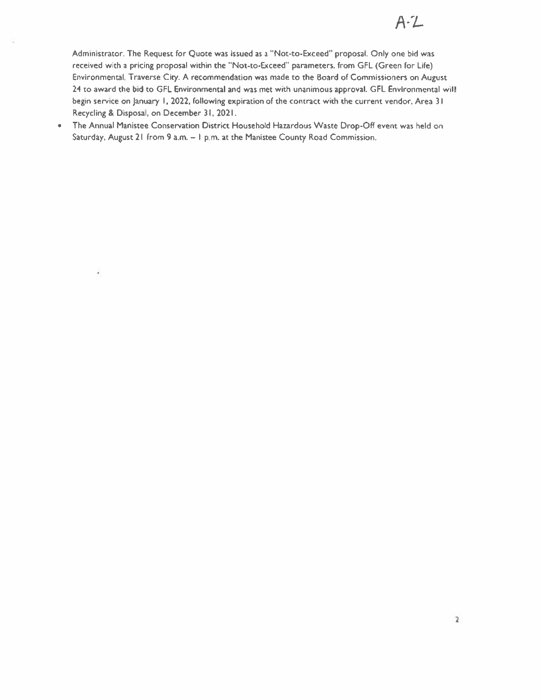Administrator. The Request for Quote was issued as <sup>a</sup> "Not-to-Exceed" proposal. Only one bid was received with a pricing proposal within the "Not-to-Exceed" parameters, from GFL (Green for Life) Environmental. Traverse City. A recommendation was made to the Board of Commissioners on August 24 to award the bid to GFL Environmental and was met with unanimous approval. GFL Environmental will begin service on January I, 2022, following expiration of the contract with the current vendor, Area 31 Recycling & Disposal, on December 31, 2021.

• The Annual Manistee Conservation District Household Hazardous Waste Drop-Off event was held on Saturday, August21 from 9a.m. — I p.m. at the Manistee County Road Commission.

¥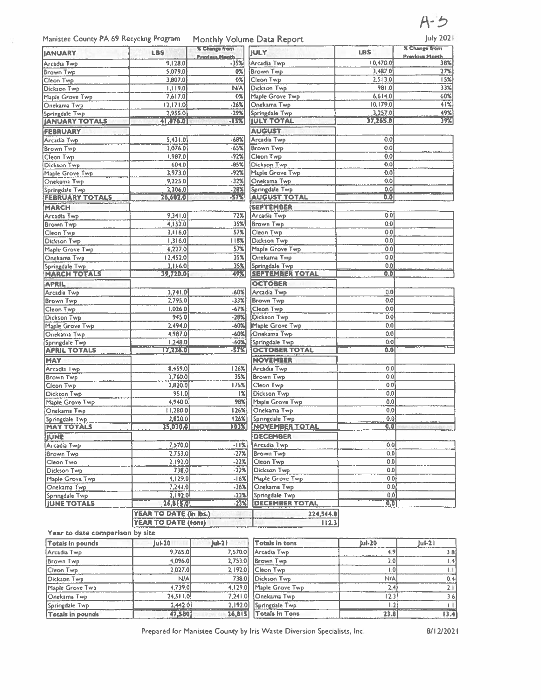# $A - 5$

### Manistee County PA 69 Recycling Program Monthly Volume Data Report July 2021

| <b>IANUARY</b>                        | <b>LBS</b>                 | <b>X Change from</b>          | <b>JULY</b>                            | <b>LBS</b>       | % Change from                |
|---------------------------------------|----------------------------|-------------------------------|----------------------------------------|------------------|------------------------------|
| Arcadia Two                           | 9,128.0                    | <b>Previous North</b><br>-35% | Arcadia Twp                            | 10,470.0         | <b>Previous Month</b><br>38% |
| Brown Twp                             | 5.079.0                    | 0%                            | Brown Two                              | 3,487.0          | 27%                          |
| Cleon Twp                             | 3,807.0                    | $0\%$                         | Cleon Twp                              | 2.513.0          | 15%                          |
| Dickson Twp                           | 1,119.0                    | N/A                           | Dickson Twp                            | 981.0            | 33%                          |
| Maple Grove Twp                       | 7,617.0                    | 0%                            | Maple Grove Twp                        | 6,614.0          | 60%                          |
| Onekama Twp                           | [2, 171.0]                 | $-26%$                        | Onekama Twp                            | 10, 179.0        | 41%                          |
| Springdale Twp                        | 2,955.0                    | $-29%$                        | Springdale Twp                         | 3,257.0          | 49%                          |
| <b>JANUARY TOTALS</b>                 | <b>CIREATE</b>             | <b>EISX</b>                   | <b>IULY TOTAL</b>                      | 37,265.0         | BV.                          |
| <b>FEBRUARY</b>                       |                            |                               | <b>AUGUST</b>                          |                  |                              |
|                                       | 5,431.0                    | -68%                          | Arcadia Twp                            | 0.0              |                              |
| Arcadia Twp                           | 3,076.0                    | $-65%$                        | <b>Brown Twp</b>                       | 0.0              |                              |
| Brown Twp                             | 1,987.0                    | $-92%$                        | Cleon Twp                              | 0.0              |                              |
| Clean Twp                             |                            |                               |                                        | 0.0              |                              |
| Dickson Twp                           | 604.0                      | $-85%$                        | Dickson Twp                            |                  |                              |
| Maple Grove Twp                       | 3,973.0                    | $-92%$                        | Maple Grove Twp                        | 0.0              |                              |
| Onekama Twp                           | 9,225.0                    | $-32%$                        | Onekama Twp                            | 0.0              |                              |
| Springdale Twp                        | 2,306.0                    | $-28x$                        | Springdale Twp                         | 0.0              |                              |
| <b>FEBRUARY TOTALS</b>                | 267362701                  | -57%                          | <b>AUGUST TOTAL</b>                    | 0.0              |                              |
| <b>MARCH</b>                          |                            |                               | <b>SEPTEMBER</b>                       |                  |                              |
| Arcadia Twp                           | 9,341.0                    | 72%                           | Arcadia Twp                            | 0.01             |                              |
| <b>Brown Twp</b>                      | 4,152.0                    | 35%                           | <b>Brown Twp</b>                       | 0.0              |                              |
| Cleon Twp                             | 3.116.0                    | 57%                           | Cleon Twp                              | 0.0              |                              |
| <b>Dickson Twp</b>                    | 1.316.0                    | [18%]                         | Dickson Twp                            | 0.0              |                              |
| Maple Grove Twp                       | 6,227.0                    | 57%                           | Maple Grove Twp                        | 0.0              |                              |
| Onekama Twp                           | 12,452.0                   | 35%                           | Onekama Twp                            | 0.0              |                              |
| Springdale Twp                        | 3.116.0                    | 35%                           | Springdale Twp                         | 0.0              |                              |
| <b>MARCH TOTALS</b>                   | <b>397/2010</b>            | 773                           | <b>SEPTEMBER TOTAL</b>                 | OO.              |                              |
| <b>APRIL</b>                          |                            |                               | <b>OCTOBER</b>                         |                  |                              |
| Arcadía Twp                           | 3,741.0                    | $-60%$                        | Arcadia Two                            | 0.0              |                              |
| Brown Twp                             | 2,795.0                    | $-33%$                        | Brown Twp                              | 0.0              |                              |
| Cleon Twp                             | 1,026.0                    | $-67%$                        | Cleon Twp                              | 0.0              |                              |
| Dickson Twp                           | 945.0                      | $-28%$                        | Dickson Twp                            | 0.0              |                              |
| Maple Grove Twp                       | 2,494.0                    | $-60%$                        | Maple Grove Twp                        | 0.0              |                              |
|                                       | 4,987.0                    | $-60%$                        | Onekama Twp                            | 0.0              |                              |
| Onekama Twp                           |                            |                               |                                        |                  |                              |
| Springdale Twp<br><b>APRIL TOTALS</b> | 1,248.0<br>17,236.0        | $-60%$<br>-57%                | Springdale Twp<br><b>OCTOBER TOTAL</b> | 0.0<br>0.0       |                              |
|                                       |                            |                               |                                        |                  |                              |
| <b>MAY</b>                            |                            |                               | <b>NOVEMBER</b>                        |                  |                              |
| Arcadia Two                           | 8,459.0                    | $126$ %                       | Arcadia Twp                            | 0.0              |                              |
| <b>Brown Twp</b>                      | 3,760.0                    | 35 <sup>2</sup>               | <b>Brown Twp</b>                       | 0.0              |                              |
| Cleon Twp                             | 2,820.0                    | 175%                          | Cleon Twp                              | 0.01             |                              |
| Dickson Twp                           | 951.0                      | 1%                            | <b>Dickson Twp</b>                     | 0.0              |                              |
| Maple Grove Twp                       | 4,940.0                    | 98%                           | Maple Grove Twp                        | 0.0              |                              |
| Onekama Twp                           | [1,280.0]                  | $126$ %                       | Onekama Two                            | 0.0 <sub>l</sub> |                              |
| Springdale Twp                        | 2,820.0                    | 126%                          | Springdale Twp                         | 0.01             |                              |
| <b>MAY TOTALS</b>                     | 基地工作                       | <b>IDES</b>                   | NOVEMBER TOTAL                         | 0.0              |                              |
| <b>JUNE</b>                           |                            |                               | <b>DECEMBER</b>                        |                  |                              |
| Arcadia Twp                           | 7,570.0                    | <u>-11% </u>                  | Arcadia Twp                            | 0.01             |                              |
| Brown Twp                             | 2,753.0                    | $-27%$                        | Brown Twp                              | 0.0              |                              |
| Cleon Two                             | 2,192.0                    | -22%                          | Cleon Twp                              | 0.0              |                              |
| Dickson Twp                           | 738.0                      | $-22%$                        | Dickson Twp                            | 0.0              |                              |
| Maple Grove Twp                       | 4,129.0                    | $-16%$                        | Maple Grove Twp                        | 0.01             |                              |
|                                       | 7,241.0                    | $-36%$                        | Onekama Twp                            | 0.0              |                              |
| Onekama Twp                           |                            |                               |                                        |                  |                              |
| Springdale Twp                        | 2.192.0                    | $-22%$                        | Springdale Twp                         | 0.0              |                              |
| <b>JUNE TOTALS</b>                    | <b>LEATER</b>              | $-23%$                        | <b>DECEMBER TOTAL</b>                  | 0.01             |                              |
|                                       | YEAR TO DATE (in lbs.)     |                               | 224,544.0                              |                  |                              |
|                                       | <b>YEAR TO DATE (tons)</b> |                               | 112.3                                  |                  |                              |

#### Year to date comparison by site

| Totals in pounds | $ u $ -20  | $ ul-2 $ | Totals in tons          | Jul-20 | $1u$ l-21 |
|------------------|------------|----------|-------------------------|--------|-----------|
| Arcadia Twp      | 9,765.0    |          | 7,570.0 Arcadia Twp     |        | 3 B       |
| <b>Brown Twp</b> | 4,096.0    | 2,753.0  | Brown Twp               |        |           |
| Cleon Twp        | 2.027.0    | 2.192.0  | <b>Cleon Twp</b>        |        |           |
| Dickson Twp      | <b>N/A</b> | 738.0    | Dickson Twp             | N/A    | 0.41      |
| Maple Grove Twp  | 4,739.0    |          | 4.129.0 Maple Grove Twp |        |           |
| Onekama Twp      | 24.511.0   | 7.241.0  | Onekama Two             |        | 36        |
| Springdale Twp   | 2,442.0    |          | 2,192.0 Springdale Twp  |        |           |
| Totals in pounds | 47,580     | 26.815   | <b>Totals In Tons</b>   | 23.8   |           |

Prepared for Manistee County by Iris Waste Diversion Specialists, Inc. 68/12/2021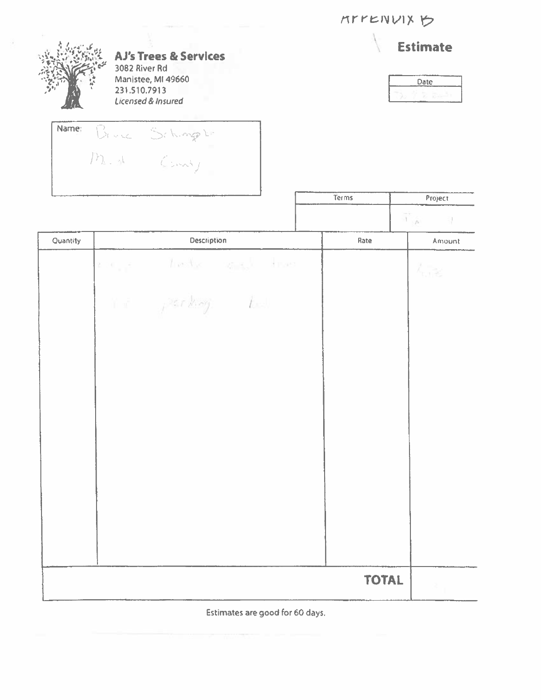**MYYENVIX ウ** 

| <b>AJ's Trees &amp; Services</b><br>3082 River Rd<br>Manistee, MI 49660<br>231.510.7913<br>Licensed & Insured |                |                                                                                |              | <b>Estimate</b><br>Date<br>$\overline{z}$ , $\overline{w}$ |  |
|---------------------------------------------------------------------------------------------------------------|----------------|--------------------------------------------------------------------------------|--------------|------------------------------------------------------------|--|
| Name:                                                                                                         | Bruce Schinger |                                                                                |              |                                                            |  |
|                                                                                                               |                |                                                                                | Terms        | Project<br>$\widetilde{A}_{\alpha,\mu}$                    |  |
| Quantity                                                                                                      |                | Description                                                                    | Rate         | $\sim$<br>Amount                                           |  |
|                                                                                                               |                | re in the second trees<br>$Y \in \mathbb{R}^n$ , $P(x \nmid \neg x, y) = f(x)$ |              | $\lambda_{\rm crit}$ is                                    |  |
|                                                                                                               |                |                                                                                | <b>TOTAL</b> |                                                            |  |

Estimates are good for 60 days.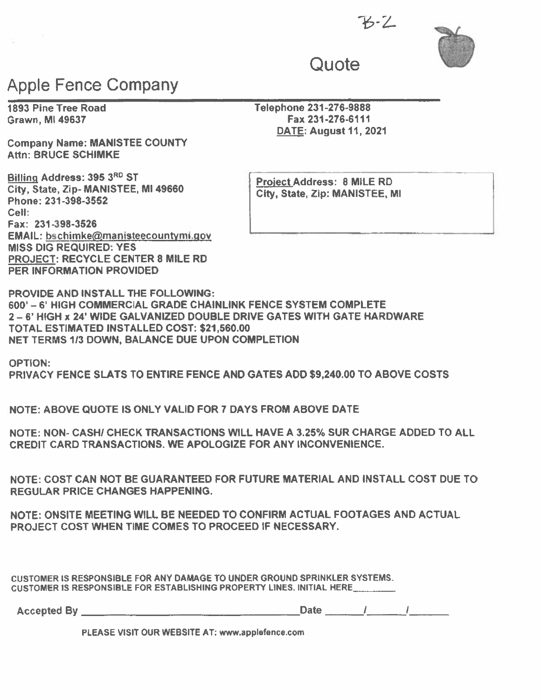$6 - 7$ 



# **Quote**

# Apple Fence Company

Company Name: MANISTEE COUNTY Attn: BRUCE SCHIMKE

Billing Address: 395 3<sup>RD</sup> ST<br>City, State, Zip- MANISTEE, MI 49660 **City, State Zip: MANISTEE, MI Phone: 231-398-3552** Cell: Fax: 231-398-3526 EMAIL: bschimke@manisteecountymi.gov MISS DIG REQUIRED: YES PROJECT: RECYCLE CENTER 8 MILE RD PER INFORMATION PROVIDED

1893 Pine Tree Road Telephone 231-276-9888 Grawn, MI 49637 **Fax 231-276-6111** DATE: August11, 2021

PROVIDE AND INSTALL THE FOLLOWING: 600' -6' HIGH COMMERCIAL GRADE CHAINLINK FENCE SYSTEM COMPLETE 2—6' HIGH <sup>x</sup> 24 WIDE GALVANIZED DOUBLE DRIVE GATES WITH GATE HARDWARE TOTAL ESTIMATED INSTALLED COST: \$21,560.00 NET TERMS 113 DOWN, BALANCE DUE UPON COMPLETION

OPTION:

PRIVACY FENCE SLATS TO ENTIRE FENCE AND GATES ADD \$9,240.00 TO ABOVE COSTS

NOTE: ABOVE QUOTE IS ONLY VALID FORT DAYS FROM ABOVE DATE

NOTE: NON- CASH! CHECK TRANSACTIONS WILL HAVE A 3.25% SUR CHARGE ADDED TO ALL CREDIT CARD TRANSACTIONS. WE APOLOGIZE FOR ANY INCONVENIENCE.

NOTE: COST CAN NOT BE GUARANTEED FOR FUTURE MATERIAL AND INSTALL COST DUE TO REGULAR PRICE CHANGES HAPPENING.

NOTE: ONSITE MEETING WILL BE NEEDED TO CONFIRM ACTUAL FOOTAGES AND ACTUAL PROJECT COST WHEN TIME COMES TO PROCEED IF NECESSARY.

CUSTOMER IS RESPONSIBLE FOR ANY DAMAGE TO UNDER GROUND SPRINKLER SYSTEMS CUSTOMER IS RESPONSIBLE FOR ESTABLISHING PROPERTY LINES. INITIAL HERE\_\_\_\_\_\_\_\_

| Accepted By |      |        |        | <b>Date</b> |  |
|-------------|------|--------|--------|-------------|--|
|             | ---- | ------ | ------ |             |  |

PLEASE VISIT OUR WEBSITE AT: www.applefence.com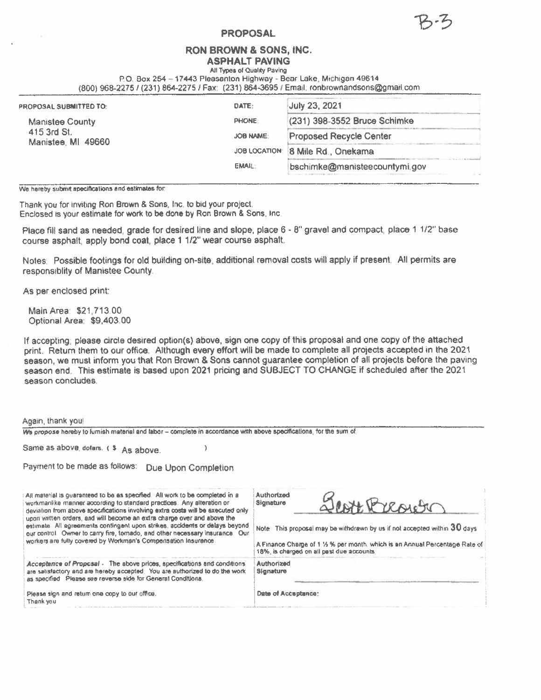#### PROPOSAL

#### RON BROWN & SONS, INC.

ASPHALT PAVING All Types of Quality Paving

P.O. Box 254 - 17443 Pleasanton Highway - Bear Lake, Michigan 49614

(800)968-2275/(231) 864-2275 / Fax: (231) 864-36951 Email. ronbrownandsons©gmail.com

| PROPOSAL SUBMITTED TO:            | DATE:            | <b>July 23, 2021</b>           |  |
|-----------------------------------|------------------|--------------------------------|--|
| <b>Manistee County</b>            | <b>PHONE:</b>    | (231) 398-3552 Bruce Schimke   |  |
| 415 3rd St.<br>Manistee, MI 49660 | <b>JOB NAME:</b> | <b>Proposed Recycle Center</b> |  |
|                                   | JOB LOCATION:    | 8 Mile Rd., Onekama            |  |
|                                   | <b>EMAIL:</b>    | bschimke@manisteecountymi.gov  |  |
|                                   |                  |                                |  |

We hereby submit apecifications and estimates for:

Thank you for Inviting Ron Brown & Sons, Inc. to bid your project. Enclosed is your estimate for work to be done by Ron Brown & Sons, Inc

Place fill sand as needed, grade for desired line and slope, place 6 - 8" gravel and compact, place 1 1/2" base course asphalt, apply bond coat, <sup>p</sup>lace <sup>1</sup> 1/2" wear course asphalt.

Notes: Possible footings for old building on-site, additional removal costs will apply if present. All permits are resporisiblity of Manistee County.

As per enclosed print:

- 21

Again, thank you

MainArea: \$21,713.00 Optional Area: \$9,403.00

If accepting; please circle desired option(s) above, sign one copy of this proposal and one copy of the attached print. Return them to our office. Although every effort will be made to complete all projects accepted in the <sup>2021</sup> season, we must inform you that Ron Brown & Sons cannot guarantee completion of all projects before the paving season end. This estimate is based upon <sup>2021</sup> pricing and SUBJECT TO CHANGE if scheduled after the <sup>2021</sup> season concludes.

| Again, thank you!                                                                                                                                                                                                                                                                                                                                                                                                                                                                                                                                     |                                                                                                                                                                                                                                                           |
|-------------------------------------------------------------------------------------------------------------------------------------------------------------------------------------------------------------------------------------------------------------------------------------------------------------------------------------------------------------------------------------------------------------------------------------------------------------------------------------------------------------------------------------------------------|-----------------------------------------------------------------------------------------------------------------------------------------------------------------------------------------------------------------------------------------------------------|
| We propose hereby to furnish material and labor - complete in accordance with above specifications, for the sum of                                                                                                                                                                                                                                                                                                                                                                                                                                    |                                                                                                                                                                                                                                                           |
| Same as above, dollars. (\$<br>As above.                                                                                                                                                                                                                                                                                                                                                                                                                                                                                                              |                                                                                                                                                                                                                                                           |
| Payment to be made as follows:<br>Due Upon Completion                                                                                                                                                                                                                                                                                                                                                                                                                                                                                                 |                                                                                                                                                                                                                                                           |
| All material is quaranteed to be as specified. All work to be completed in a<br>workmanlike manner according to standard practices. Any alteration or<br>deviation from above specifications involving extra costs will be executed only<br>upon written orders, and will become an extra charge over and above the<br>estimate. All agreements contingent upon strikes, accidents or delays beyond<br>our control. Owner to carry fire, tomado, and other necessary insurance. Our<br>workers are fully covered by Workman's Compensation Insurance. | Authorized<br>SCATTE Presiden<br><b>Signature</b><br>Note: This proposal may be withdrawn by us if not accepted within 30 days<br>A Finance Charge of 1 % % per month, which is an Annual Percentage Rate of<br>18%, is charged on all past due accounts. |
| Acceptance of Proposal - The above prices, specifications and conditions<br>are satisfactory and are hereby accepted. You are authorized to do the work<br>as specified. Please see reverse side for General Conditions.                                                                                                                                                                                                                                                                                                                              | Authorized<br><b>Signature</b>                                                                                                                                                                                                                            |
| Please sign and return one copy to our office.<br>Thank you                                                                                                                                                                                                                                                                                                                                                                                                                                                                                           | Date of Acceptance:                                                                                                                                                                                                                                       |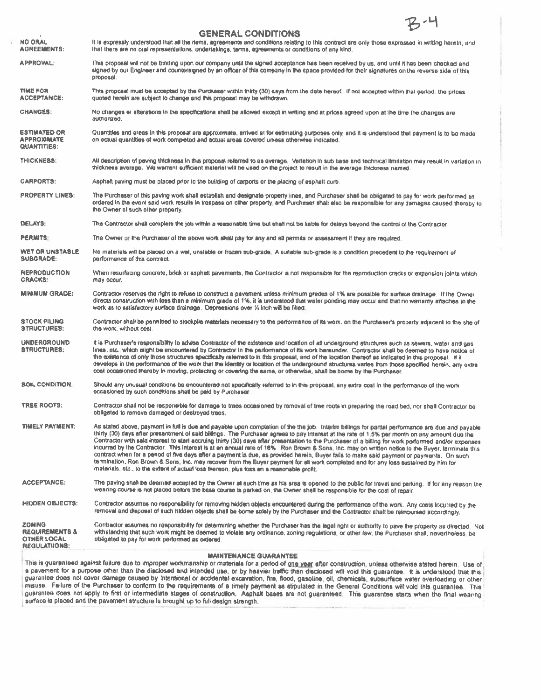2.새 **GENERAL CONDITIONS NO ORAL** It is expressly understood that all the items, agreements and conditions relating to this contract are only those expressed in writing hereto, and that there are no oral representations, undertakings, tarms, agreements or conditions of any kind. **AGREEMENTS: APPROVAL:** This proposal will not be binding upon our company until the signed acceptance has been received by us, and until it has been checked and signed by our Engineer and countersigned by an officer of this company in the space provided for their signatures on the reverse side of this proposal **TIME FOR** This proposal must be accepted by the Purchaser within thirty (30) days from the date hereof...If not accepted within that period, the prices **ACCEPTANCE:** quoted herein are subject to change and this proposal may be withdrawn. **CHANGES:** No changes or alterations in the specifications shall be allowed except in writing and at prices agreed upon at the time the changes are authorized. **ESTIMATED OR** Quantities and areas in this proposal are approximate, arrived at for estimating purposes only, and it is understood that payment is to be made **APPROXIMATE** on actual quantities of work completed and actual areas covered unless otherwise indicated. **QUANTITIES:** THICKNESS: All description of paving thickness in this proposal referred to as average. Variation in sub base and technical limitation may result in variation in thickness average. We warrant sufficient material will be used on the project to result in the average thickness named. **CARPORTS:** Asphalt paving must be placed prior to the building of carports or the placing of asphalt curb. **PROPERTY LINES:** The Purchaser of this paving work shall establish and designate property (mes, and Purchaser shall be obligated to pay for work performed as ordered in the event said work results in trespass on other property, and Purchaser shall also be responsible for any damages caused thereby to the Owner of such other property. The Contractor shall complete the job within a reasonable time but shall not be liable for delays beyond the control of the Contractor DELAYS: **PERMITS:** The Owner or the Purchaser of the above work shall pay for any and all permits or assessment if they are required. **WET OR UNSTABLE** No materials will be placed on a wet, unstable or frozen sub-grade. A suitable sub-grade is a condition precedent to the requirement of SUBGRADE: performance of this contract. **REPRODUCTION** When resurfacing concrete, brick ar asphalt pavements, the Contractor is not responsible for the reproduction cracks or expansion joints which **CRACKS:** may occur. **MINIMUM GRADE:** Contractor reserves the right to refuse to construct a pavement unless minimum grades of 1% are possible for surface drainage. If the Owner directs construction with less than a minimum grade of 1%, it is understood that water ponding may occur and that no warranty attaches to the work as to satisfactory surface drainage. Depressions over % inch will be filled. Contractor shall be permitted to stockpile materials necessary to the performance of its work, on the Purchaser's property adjacent to the site of **STOCK PILING STRUCTURES:** the work, without cost. **UNDERGROUND** It is Purchaser's responsibility to advise Contractor of the existence and location of all underground structures such as sewers, water and gas **STRUCTURES:** lines, etc., which might be encountered by Contractor in the performance of its work hereunder. Contractor shall be deemed to have notice of the existence of only those structures specifically referred to in this proposal, and of the location thereof as indicated in this proposal. If it develops in the performance of the work that the identity or location of the underground structures varies from those specified herein, any extra cost occasioned thereby in moving, protecting or covering the same, or otherwise, shall be borne by the Purchaser. **BOIL CONDITION:** Should any unusual conditions be encountered not specifically referred to in this proposal, any extra cost in the performance of the work occasioned by such conditions shall be paid by Purchaser. **TREE ROOTS:** Contractor shall not be responsible for damage to trees occasioned by removal of tree roots in preparing the road bed, nor shall Contractor be obligated to remove damaged or destroyed trees. **THIELY PAYMENT:** As stated above, payment in full is due and payable upon completion of the the job. Interim billings for partial performance are due and payable thirty (30) days after presentment of said billings. The Purchaser agrees to pay interest at the rate of 1.5% per month on any amount due the Contractor with said interest to start accruing thirty (30) days after presentation to the Purchaser of a bitting for work performed and/or expenses incurred by the Contractor. This interest is at an annual rate of 18% Ron Brown & Sons, Inc. may on written notice to the Buyer, terminate this contract when for a period of five days after a payment is due, as provided herein, Buyer fails to make said payment or payments. On such termination. Ron Brown & Sons, tnc. may recover from the Buyer payment for all work completed and for any loss sustained by him for materials, etc., to the extent of actual loss thereon, plus loss an a reasonable profit. The paving shall be deemed accepted by the Owner at such time as his area is opened to the public for travet and parking. If for any reason the ACCEPTANCE: wearing course is not placed before the base course is parked on, the Owner shall be responsible for the cost of repair. Contractor assumes no responsibility for removing hidden objects encountered during the performance of the work. Any costs incurred by the **HIDDEN OBJECTS:** removal and disposal of such hidden objects shall be borne solely by the Purchaser and the Contractor shall be reimbursed accordingly. Contractor assumes no responsibility for determining whether the Purchaser has the legal right or authority to pave the property as directed. Not **ZONING REQUIREMENTS &** withstanding that such work might be deemed to violate any ordinance, zoning regulations, or other law, the Purchaser shall, nevertheless, be **OTHER LOCAL** obligated to pay for work performed as ordered. REGULATIONS:

#### **MAINTENANCE GUARANTEE**

This is guaranteed against failure due to improper workmanship or materials for a period of one year after construction, unless otherwise stated herein. Use of a pavement for a purpose other than the disclosed and intended use, or by heavier traffic than disclosed will void this guarantee. It is understood that this guarantee does not cover damage caused by Intentional or accidental excavation, fire, flood, gasoline, oil, chemicals, subsurface water overloading or other misuse. Failure of the Purchaser to conform to the requirements of a timely payment as stipulated in the General Conditions will void this quarantee. This quarantee does not apply to first or intermediate stages of construction. Asphalt bases are not guaranteed. This guarantee starts when the final wearing surface is placed and the pavement structure is brought up to full design strength.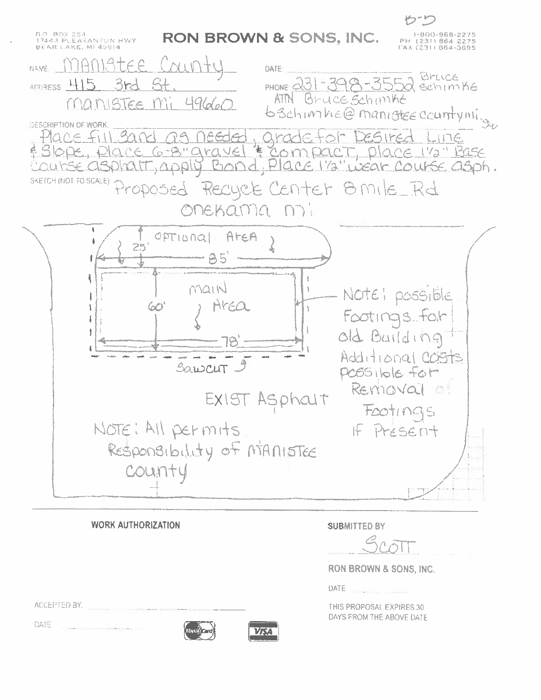

**WORK AUTHORIZATION SUBMITTED BY RON BROWN & SONS, INC.**  $DATE$  \_\_\_\_\_\_\_ ACCEPTED BY, THIS PROPOSAL EXPIRES 30 DAYS FROM THE ABOVE DATE DATE

**YAA**